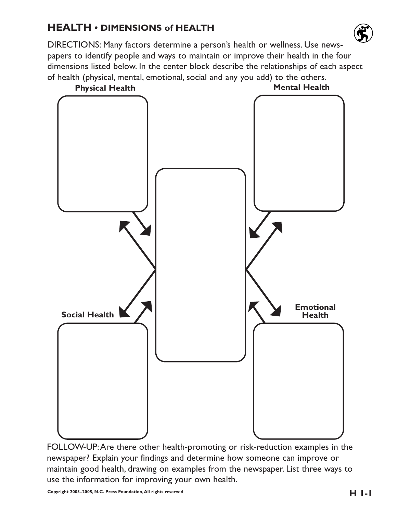# **HEALTH • DIMENSIONS of HEALTH**

DIRECTIONS: Many factors determine a person's health or wellness. Use newspapers to identify people and ways to maintain or improve their health in the four dimensions listed below. In the center block describe the relationships of each aspect of health (physical, mental, emotional, social and any you add) to the others.



FOLLOW-UP:Are there other health-promoting or risk-reduction examples in the newspaper? Explain your findings and determine how someone can improve or maintain good health, drawing on examples from the newspaper. List three ways to use the information for improving your own health.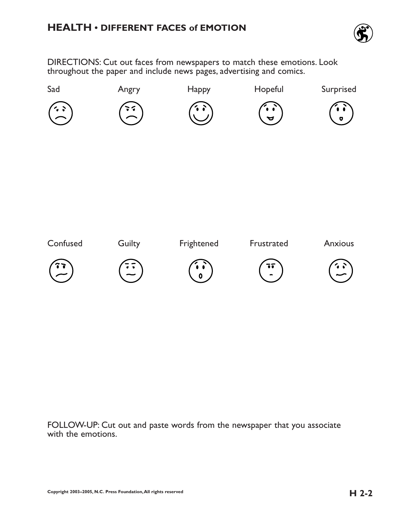

DIRECTIONS: Cut out faces from newspapers to match these emotions. Look throughout the paper and include news pages, advertising and comics.



FOLLOW-UP: Cut out and paste words from the newspaper that you associate with the emotions.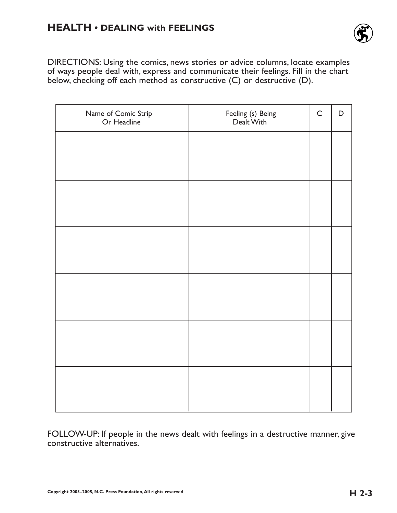

DIRECTIONS: Using the comics, news stories or advice columns, locate examples of ways people deal with, express and communicate their feelings. Fill in the chart below, checking off each method as constructive (C) or destructive (D).

| Name of Comic Strip<br>Or Headline | Feeling (s) Being<br>Dealt With | $\mathsf C$ | $\mathsf D$ |
|------------------------------------|---------------------------------|-------------|-------------|
|                                    |                                 |             |             |
|                                    |                                 |             |             |
|                                    |                                 |             |             |
|                                    |                                 |             |             |
|                                    |                                 |             |             |
|                                    |                                 |             |             |
|                                    |                                 |             |             |
|                                    |                                 |             |             |
|                                    |                                 |             |             |
|                                    |                                 |             |             |
|                                    |                                 |             |             |
|                                    |                                 |             |             |

FOLLOW-UP: If people in the news dealt with feelings in a destructive manner, give constructive alternatives.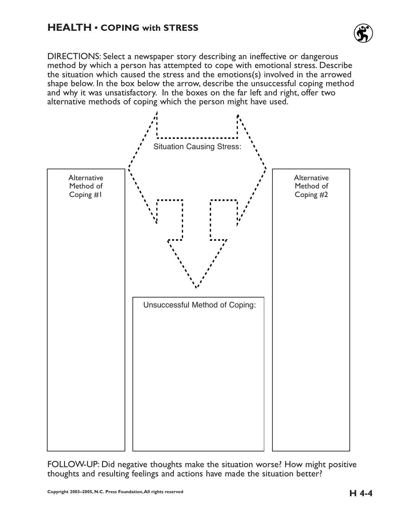

DIRECTIONS: Select a newspaper story describing an ineffective or dangerous method by which a person has attempted to cope with emotional stress. Describe the situation which caused the stress and the emotions(s) involved in the arrowed shape below. In the box below the arrow, describe the unsuccessful coping method and why it was unsatisfactory. In the boxes on the far left and right, offer two alternative methods of coping which the person might have used.



FOLLOW-UP: Did negative thoughts make the situation worse? How might positive thoughts and resulting feelings and actions have made the situation better?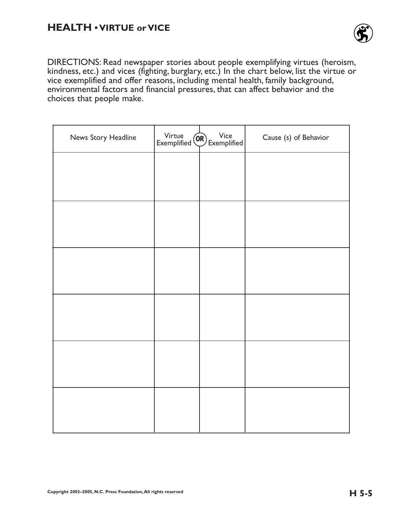

DIRECTIONS: Read newspaper stories about people exemplifying virtues (heroism, kindness, etc.) and vices (fighting, burglary, etc.) In the chart below, list the virtue or vice exemplified and offer reasons, including mental health, family background, environmental factors and financial pressures, that can affect behavior and the choices that people make.

| News Story Headline | Virtue Wice Exemplified | Cause (s) of Behavior |
|---------------------|-------------------------|-----------------------|
|                     |                         |                       |
|                     |                         |                       |
|                     |                         |                       |
|                     |                         |                       |
|                     |                         |                       |
|                     |                         |                       |
|                     |                         |                       |
|                     |                         |                       |
|                     |                         |                       |
|                     |                         |                       |
|                     |                         |                       |
|                     |                         |                       |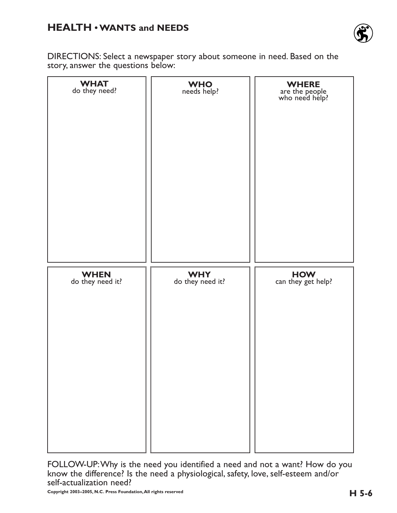### **HEALTH • WANTS and NEEDS**



DIRECTIONS: Select a newspaper story about someone in need. Based on the story, answer the questions below:

| <b>WHAT</b><br>do they need?    | WHO<br>needs help?             | <b>WHERE</b><br>are the people<br>who need help? |
|---------------------------------|--------------------------------|--------------------------------------------------|
| <b>WHEN</b><br>do they need it? | <b>WHY</b><br>do they need it? | HOW<br>can they get help?                        |

FOLLOW-UP:Why is the need you identified a need and not a want? How do you know the difference? Is the need a physiological, safety, love, self-esteem and/or self-actualization need?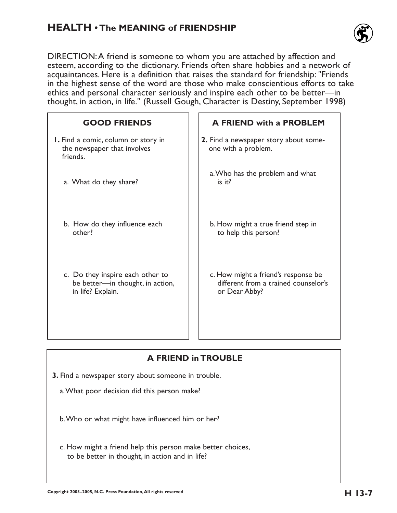### **HEALTH • The MEANING of FRIENDSHIP**



DIRECTION:A friend is someone to whom you are attached by affection and esteem, according to the dictionary. Friends often share hobbies and a network of acquaintances. Here is a definition that raises the standard for friendship: "Friends in the highest sense of the word are those who make conscientious efforts to take ethics and personal character seriously and inspire each other to be better—in thought, in action, in life." (Russell Gough, Character is Destiny, September 1998)

| <b>GOOD FRIENDS</b>                                                                       | <b>A FRIEND with a PROBLEM</b>                                                               |
|-------------------------------------------------------------------------------------------|----------------------------------------------------------------------------------------------|
| <b>I.</b> Find a comic, column or story in<br>the newspaper that involves<br>friends.     | 2. Find a newspaper story about some-<br>one with a problem.                                 |
| a. What do they share?                                                                    | a. Who has the problem and what<br>is it?                                                    |
| b. How do they influence each<br>other?                                                   | b. How might a true friend step in<br>to help this person?                                   |
| c. Do they inspire each other to<br>be better-in thought, in action,<br>in life? Explain. | c. How might a friend's response be<br>different from a trained counselor's<br>or Dear Abby? |

#### **A FRIEND in TROUBLE**

**3.** Find a newspaper story about someone in trouble.

a.What poor decision did this person make?

b.Who or what might have influenced him or her?

c. How might a friend help this person make better choices, to be better in thought, in action and in life?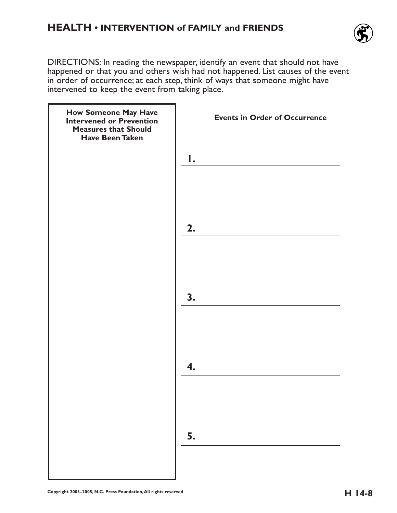

DIRECTIONS: In reading the newspaper, identify an event that should not have happened or that you and others wish had not happened. List causes of the event in order of occurrence; at each step, think of ways that someone might have intervened to keep the event from taking place.

| How Someone May Have<br>Intervened or Prevention<br><b>Measures that Should</b><br><b>Have Been Taken</b> | <b>Events in Order of Occurrence</b> |
|-----------------------------------------------------------------------------------------------------------|--------------------------------------|
|                                                                                                           | Ι.                                   |
|                                                                                                           | 2.                                   |
|                                                                                                           |                                      |
|                                                                                                           | 3.                                   |
|                                                                                                           | 4.                                   |
|                                                                                                           |                                      |
|                                                                                                           | 5.                                   |
|                                                                                                           |                                      |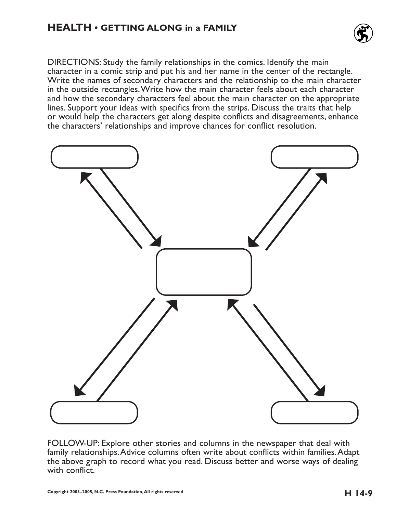

DIRECTIONS: Study the family relationships in the comics. Identify the main character in a comic strip and put his and her name in the center of the rectangle. Write the names of secondary characters and the relationship to the main character in the outside rectangles.Write how the main character feels about each character and how the secondary characters feel about the main character on the appropriate lines. Support your ideas with specifics from the strips. Discuss the traits that help or would help the characters get along despite conflicts and disagreements, enhance the characters' relationships and improve chances for conflict resolution.



FOLLOW-UP: Explore other stories and columns in the newspaper that deal with family relationships.Advice columns often write about conflicts within families.Adapt the above graph to record what you read. Discuss better and worse ways of dealing with conflict.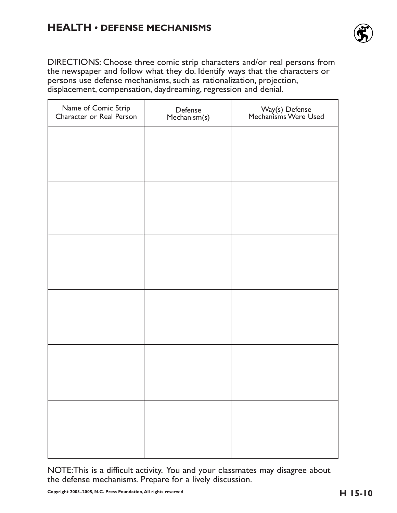#### **HEALTH • DEFENSE MECHANISMS**



DIRECTIONS: Choose three comic strip characters and/or real persons from the newspaper and follow what they do. Identify ways that the characters or persons use defense mechanisms, such as rationalization, projection, displacement, compensation, daydreaming, regression and denial.

| Name of Comic Strip<br>Character or Real Person | Defense<br>Mechanism(s) | Way(s) Defense<br>Mechanisms Were Used |
|-------------------------------------------------|-------------------------|----------------------------------------|
|                                                 |                         |                                        |
|                                                 |                         |                                        |
|                                                 |                         |                                        |
|                                                 |                         |                                        |
|                                                 |                         |                                        |
|                                                 |                         |                                        |
|                                                 |                         |                                        |
|                                                 |                         |                                        |
|                                                 |                         |                                        |
|                                                 |                         |                                        |
|                                                 |                         |                                        |
|                                                 |                         |                                        |
|                                                 |                         |                                        |

NOTE:This is a difficult activity. You and your classmates may disagree about the defense mechanisms. Prepare for a lively discussion.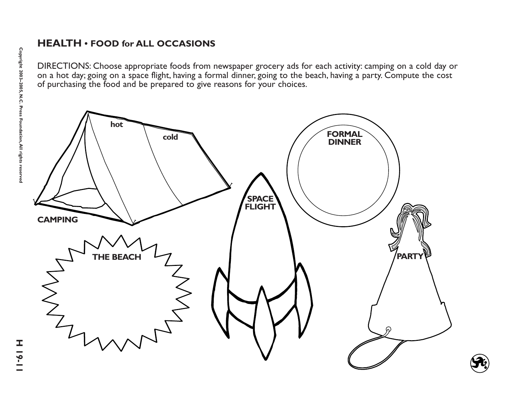#### **HEALTH • FOOD for ALL OCCASIONS**

DIRECTIONS: Choose appropriate foods from newspaper grocery ads for each activity: camping on a cold day or on a hot day; going on a space flight, having a formal dinner, going to the beach, having a party. Compute the cost of purchasing the food and be prepared to give reasons for your choices.

**CAMPINGhot cold THE BEACHFORMAL DINNERPARTYSPACE FLIGHT**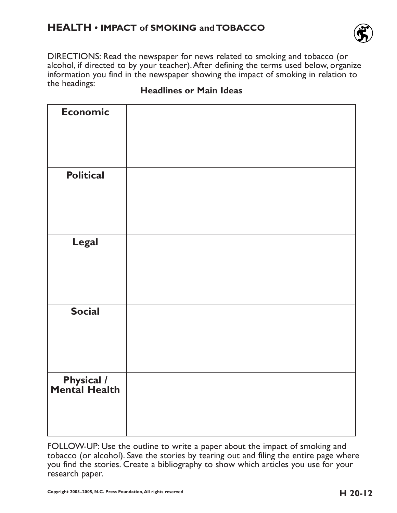#### **HEALTH • IMPACT of SMOKING and TOBACCO**



DIRECTIONS: Read the newspaper for news related to smoking and tobacco (or alcohol, if directed to by your teacher).After defining the terms used below, organize information you find in the newspaper showing the impact of smoking in relation to the headings:

| <b>Economic</b>                    |  |
|------------------------------------|--|
|                                    |  |
|                                    |  |
|                                    |  |
|                                    |  |
| <b>Political</b>                   |  |
|                                    |  |
|                                    |  |
|                                    |  |
|                                    |  |
| <b>Legal</b>                       |  |
|                                    |  |
|                                    |  |
|                                    |  |
|                                    |  |
| <b>Social</b>                      |  |
|                                    |  |
|                                    |  |
|                                    |  |
|                                    |  |
| <b>Physical /</b><br>Mental Health |  |
|                                    |  |
|                                    |  |
|                                    |  |
|                                    |  |

#### **Headlines or Main Ideas**

FOLLOW-UP: Use the outline to write a paper about the impact of smoking and tobacco (or alcohol). Save the stories by tearing out and filing the entire page where you find the stories. Create a bibliography to show which articles you use for your research paper.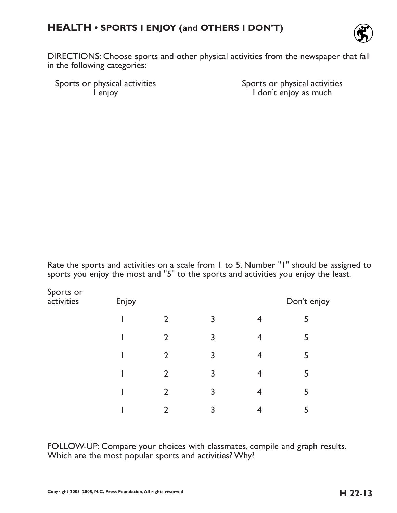## **HEALTH • SPORTS I ENJOY (and OTHERS I DON'T)**



DIRECTIONS: Choose sports and other physical activities from the newspaper that fall in the following categories:

Sports or physical activities<br>
l enjoy<br>
l don't enjoy as much

I don't enjoy as much

Rate the sports and activities on a scale from 1 to 5. Number "1" should be assigned to sports you enjoy the most and "5" to the sports and activities you enjoy the least.

| Sports or<br>activities | Don't enjoy<br>Enjoy |                |                |                |   |
|-------------------------|----------------------|----------------|----------------|----------------|---|
|                         |                      | $\overline{2}$ | $\overline{3}$ | $\overline{4}$ | 5 |
|                         |                      | $\overline{2}$ | 3              | 4              | 5 |
|                         |                      | $\overline{2}$ | 3              | 4              | 5 |
|                         |                      | $\overline{2}$ | 3              | 4              | 5 |
|                         |                      | $\overline{2}$ | 3              | 4              | 5 |
|                         |                      | $\mathcal{D}$  | 3              |                |   |

FOLLOW-UP: Compare your choices with classmates, compile and graph results. Which are the most popular sports and activities? Why?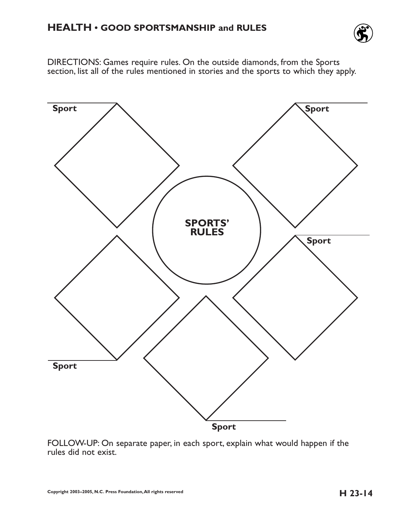

DIRECTIONS: Games require rules. On the outside diamonds, from the Sports section, list all of the rules mentioned in stories and the sports to which they apply.



FOLLOW-UP: On separate paper, in each sport, explain what would happen if the rules did not exist.